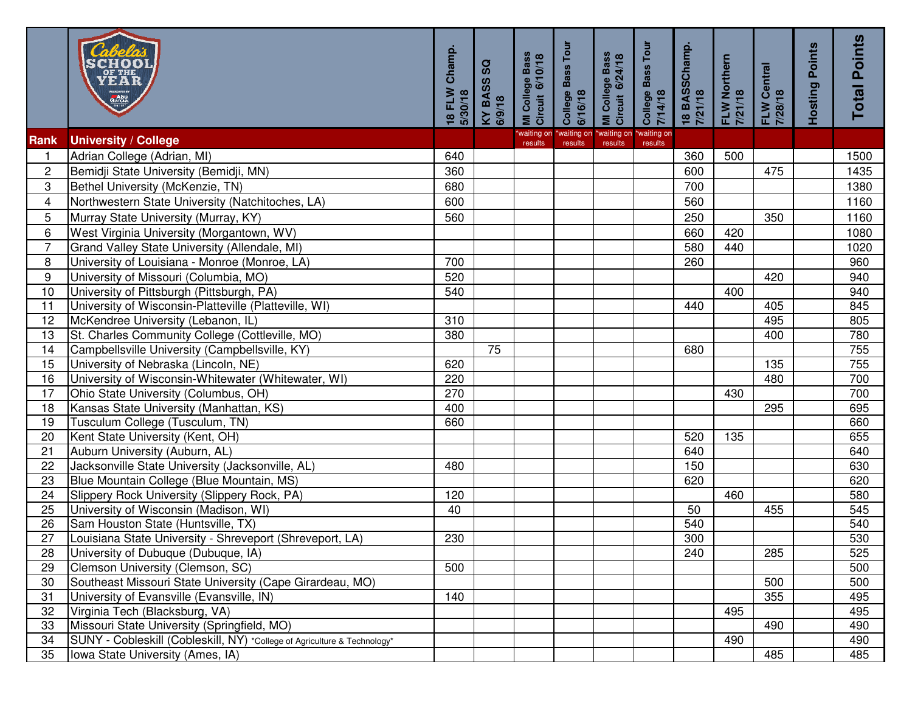|                | Garcia.<br>Barcia.                                                       | Champ.<br>18 FLW<br>5/30/18 | င္တ<br>KY BASS<br>6/9/18 | MI College Bass<br>Circuit 6/10/18 | College Bass Tour<br>6/16/18 | MI College Bass<br>Circuit 6/24/18 | College Bass Tour<br>7/14/18 | 18 BASSChamp.<br>7/21/18 | FLW Northern<br>7/21/18 | FLW Central<br>7/28/18 | <b>Hosting Points</b> | <b>Total Points</b> |
|----------------|--------------------------------------------------------------------------|-----------------------------|--------------------------|------------------------------------|------------------------------|------------------------------------|------------------------------|--------------------------|-------------------------|------------------------|-----------------------|---------------------|
| Rank           | <b>University / College</b>                                              |                             |                          | waiting on<br>results              | *waiting on<br>results       | *waiting on<br>results             | *waiting on<br>results       |                          |                         |                        |                       |                     |
|                | Adrian College (Adrian, MI)                                              | 640                         |                          |                                    |                              |                                    |                              | 360                      | 500                     |                        |                       | 1500                |
| $\overline{c}$ | Bemidji State University (Bemidji, MN)                                   | 360                         |                          |                                    |                              |                                    |                              | 600                      |                         | 475                    |                       | 1435                |
| 3              | Bethel University (McKenzie, TN)                                         | 680                         |                          |                                    |                              |                                    |                              | 700                      |                         |                        |                       | 1380                |
| $\overline{4}$ | Northwestern State University (Natchitoches, LA)                         | 600                         |                          |                                    |                              |                                    |                              | 560                      |                         |                        |                       | 1160                |
| 5              | Murray State University (Murray, KY)                                     | 560                         |                          |                                    |                              |                                    |                              | 250                      |                         | 350                    |                       | 1160                |
| 6              | West Virginia University (Morgantown, WV)                                |                             |                          |                                    |                              |                                    |                              | 660                      | 420                     |                        |                       | 1080                |
| $\overline{7}$ | Grand Valley State University (Allendale, MI)                            |                             |                          |                                    |                              |                                    |                              | 580                      | 440                     |                        |                       | 1020                |
| 8              | University of Louisiana - Monroe (Monroe, LA)                            | 700                         |                          |                                    |                              |                                    |                              | 260                      |                         |                        |                       | 960                 |
| 9              | University of Missouri (Columbia, MO)                                    | 520                         |                          |                                    |                              |                                    |                              |                          |                         | 420                    |                       | 940                 |
| 10             | University of Pittsburgh (Pittsburgh, PA)                                | 540                         |                          |                                    |                              |                                    |                              |                          | 400                     |                        |                       | 940                 |
| 11             | University of Wisconsin-Platteville (Platteville, WI)                    |                             |                          |                                    |                              |                                    |                              | 440                      |                         | 405                    |                       | 845                 |
| 12             | McKendree University (Lebanon, IL)                                       | 310                         |                          |                                    |                              |                                    |                              |                          |                         | 495                    |                       | 805                 |
| 13             | St. Charles Community College (Cottleville, MO)                          | 380                         |                          |                                    |                              |                                    |                              |                          |                         | 400                    |                       | 780                 |
| 14             | Campbellsville University (Campbellsville, KY)                           |                             | 75                       |                                    |                              |                                    |                              | 680                      |                         |                        |                       | 755                 |
| 15             | University of Nebraska (Lincoln, NE)                                     | 620                         |                          |                                    |                              |                                    |                              |                          |                         | 135                    |                       | 755                 |
| 16             | University of Wisconsin-Whitewater (Whitewater, WI)                      | 220                         |                          |                                    |                              |                                    |                              |                          |                         | 480                    |                       | 700                 |
| 17             | Ohio State University (Columbus, OH)                                     | 270                         |                          |                                    |                              |                                    |                              |                          | 430                     |                        |                       | 700                 |
| 18             | Kansas State University (Manhattan, KS)                                  | 400                         |                          |                                    |                              |                                    |                              |                          |                         | 295                    |                       | 695                 |
| 19             | Tusculum College (Tusculum, TN)                                          | 660                         |                          |                                    |                              |                                    |                              |                          |                         |                        |                       | 660                 |
| 20             | Kent State University (Kent, OH)                                         |                             |                          |                                    |                              |                                    |                              | 520                      | 135                     |                        |                       | 655                 |
| 21             | Auburn University (Auburn, AL)                                           |                             |                          |                                    |                              |                                    |                              | 640                      |                         |                        |                       | 640                 |
| 22             | Jacksonville State University (Jacksonville, AL)                         | 480                         |                          |                                    |                              |                                    |                              | 150                      |                         |                        |                       | 630                 |
| 23             | Blue Mountain College (Blue Mountain, MS)                                |                             |                          |                                    |                              |                                    |                              | 620                      |                         |                        |                       | 620                 |
| 24             | Slippery Rock University (Slippery Rock, PA)                             | 120                         |                          |                                    |                              |                                    |                              |                          | 460                     |                        |                       | 580                 |
| 25             | University of Wisconsin (Madison, WI)                                    | 40                          |                          |                                    |                              |                                    |                              | 50                       |                         | 455                    |                       | 545                 |
| 26             | Sam Houston State (Huntsville, TX)                                       |                             |                          |                                    |                              |                                    |                              | 540                      |                         |                        |                       | 540                 |
| 27             | Louisiana State University - Shreveport (Shreveport, LA)                 | 230                         |                          |                                    |                              |                                    |                              | 300                      |                         |                        |                       | 530                 |
| 28             | University of Dubuque (Dubuque, IA)                                      |                             |                          |                                    |                              |                                    |                              | 240                      |                         | 285                    |                       | 525                 |
| 29             | Clemson University (Clemson, SC)                                         | 500                         |                          |                                    |                              |                                    |                              |                          |                         |                        |                       | 500                 |
| 30             | Southeast Missouri State University (Cape Girardeau, MO)                 |                             |                          |                                    |                              |                                    |                              |                          |                         | 500                    |                       | 500                 |
| 31             | University of Evansville (Evansville, IN)                                | 140                         |                          |                                    |                              |                                    |                              |                          |                         | 355                    |                       | 495                 |
| 32             | Virginia Tech (Blacksburg, VA)                                           |                             |                          |                                    |                              |                                    |                              |                          | 495                     |                        |                       | 495                 |
| 33             | Missouri State University (Springfield, MO)                              |                             |                          |                                    |                              |                                    |                              |                          |                         | 490                    |                       | 490                 |
| 34             | SUNY - Cobleskill (Cobleskill, NY) *College of Agriculture & Technology* |                             |                          |                                    |                              |                                    |                              |                          | 490                     |                        |                       | 490                 |
| 35             | Iowa State University (Ames, IA)                                         |                             |                          |                                    |                              |                                    |                              |                          |                         | 485                    |                       | 485                 |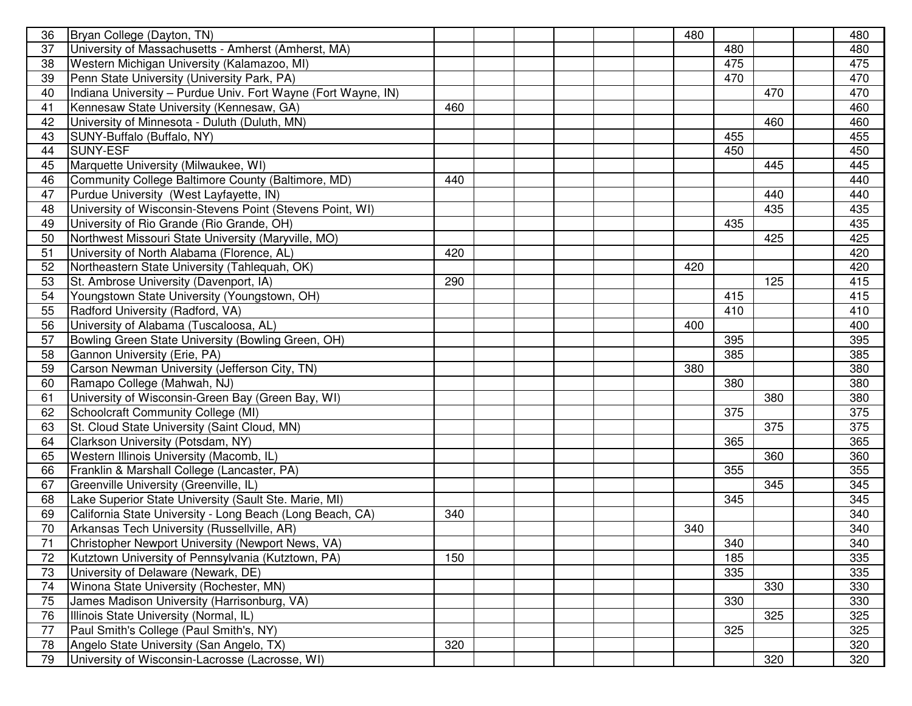| 36 | Bryan College (Dayton, TN)                                    |     |  |  | 480 |     |     | 480 |
|----|---------------------------------------------------------------|-----|--|--|-----|-----|-----|-----|
| 37 | University of Massachusetts - Amherst (Amherst, MA)           |     |  |  |     | 480 |     | 480 |
| 38 | Western Michigan University (Kalamazoo, MI)                   |     |  |  |     | 475 |     | 475 |
| 39 | Penn State University (University Park, PA)                   |     |  |  |     | 470 |     | 470 |
| 40 | Indiana University - Purdue Univ. Fort Wayne (Fort Wayne, IN) |     |  |  |     |     | 470 | 470 |
| 41 | Kennesaw State University (Kennesaw, GA)                      | 460 |  |  |     |     |     | 460 |
| 42 | University of Minnesota - Duluth (Duluth, MN)                 |     |  |  |     |     | 460 | 460 |
| 43 | SUNY-Buffalo (Buffalo, NY)                                    |     |  |  |     | 455 |     | 455 |
| 44 | SUNY-ESF                                                      |     |  |  |     | 450 |     | 450 |
| 45 | Marquette University (Milwaukee, WI)                          |     |  |  |     |     | 445 | 445 |
| 46 | Community College Baltimore County (Baltimore, MD)            | 440 |  |  |     |     |     | 440 |
| 47 | Purdue University (West Layfayette, IN)                       |     |  |  |     |     | 440 | 440 |
| 48 | University of Wisconsin-Stevens Point (Stevens Point, WI)     |     |  |  |     |     | 435 | 435 |
| 49 | University of Rio Grande (Rio Grande, OH)                     |     |  |  |     | 435 |     | 435 |
| 50 | Northwest Missouri State University (Maryville, MO)           |     |  |  |     |     | 425 | 425 |
| 51 | University of North Alabama (Florence, AL)                    | 420 |  |  |     |     |     | 420 |
| 52 | Northeastern State University (Tahlequah, OK)                 |     |  |  | 420 |     |     | 420 |
| 53 | St. Ambrose University (Davenport, IA)                        | 290 |  |  |     |     | 125 | 415 |
| 54 | Youngstown State University (Youngstown, OH)                  |     |  |  |     | 415 |     | 415 |
| 55 | Radford University (Radford, VA)                              |     |  |  |     | 410 |     | 410 |
| 56 | University of Alabama (Tuscaloosa, AL)                        |     |  |  | 400 |     |     | 400 |
| 57 | Bowling Green State University (Bowling Green, OH)            |     |  |  |     | 395 |     | 395 |
| 58 | Gannon University (Erie, PA)                                  |     |  |  |     | 385 |     | 385 |
| 59 | Carson Newman University (Jefferson City, TN)                 |     |  |  | 380 |     |     | 380 |
| 60 | Ramapo College (Mahwah, NJ)                                   |     |  |  |     | 380 |     | 380 |
| 61 | University of Wisconsin-Green Bay (Green Bay, WI)             |     |  |  |     |     | 380 | 380 |
| 62 | Schoolcraft Community College (MI)                            |     |  |  |     | 375 |     | 375 |
| 63 | St. Cloud State University (Saint Cloud, MN)                  |     |  |  |     |     | 375 | 375 |
| 64 | Clarkson University (Potsdam, NY)                             |     |  |  |     | 365 |     | 365 |
| 65 | <b>Western Illinois University (Macomb, IL)</b>               |     |  |  |     |     | 360 | 360 |
| 66 | Franklin & Marshall College (Lancaster, PA)                   |     |  |  |     | 355 |     | 355 |
| 67 | Greenville University (Greenville, IL)                        |     |  |  |     |     | 345 | 345 |
| 68 | Lake Superior State University (Sault Ste. Marie, MI)         |     |  |  |     | 345 |     | 345 |
| 69 | California State University - Long Beach (Long Beach, CA)     | 340 |  |  |     |     |     | 340 |
| 70 | Arkansas Tech University (Russellville, AR)                   |     |  |  | 340 |     |     | 340 |
| 71 | Christopher Newport University (Newport News, VA)             |     |  |  |     | 340 |     | 340 |
| 72 | Kutztown University of Pennsylvania (Kutztown, PA)            | 150 |  |  |     | 185 |     | 335 |
| 73 | University of Delaware (Newark, DE)                           |     |  |  |     | 335 |     | 335 |
| 74 | Winona State University (Rochester, MN)                       |     |  |  |     |     | 330 | 330 |
| 75 | James Madison University (Harrisonburg, VA)                   |     |  |  |     | 330 |     | 330 |
| 76 | Illinois State University (Normal, IL)                        |     |  |  |     |     | 325 | 325 |
| 77 | Paul Smith's College (Paul Smith's, NY)                       |     |  |  |     | 325 |     | 325 |
| 78 | Angelo State University (San Angelo, TX)                      | 320 |  |  |     |     |     | 320 |
| 79 | University of Wisconsin-Lacrosse (Lacrosse, WI)               |     |  |  |     |     | 320 | 320 |
|    |                                                               |     |  |  |     |     |     |     |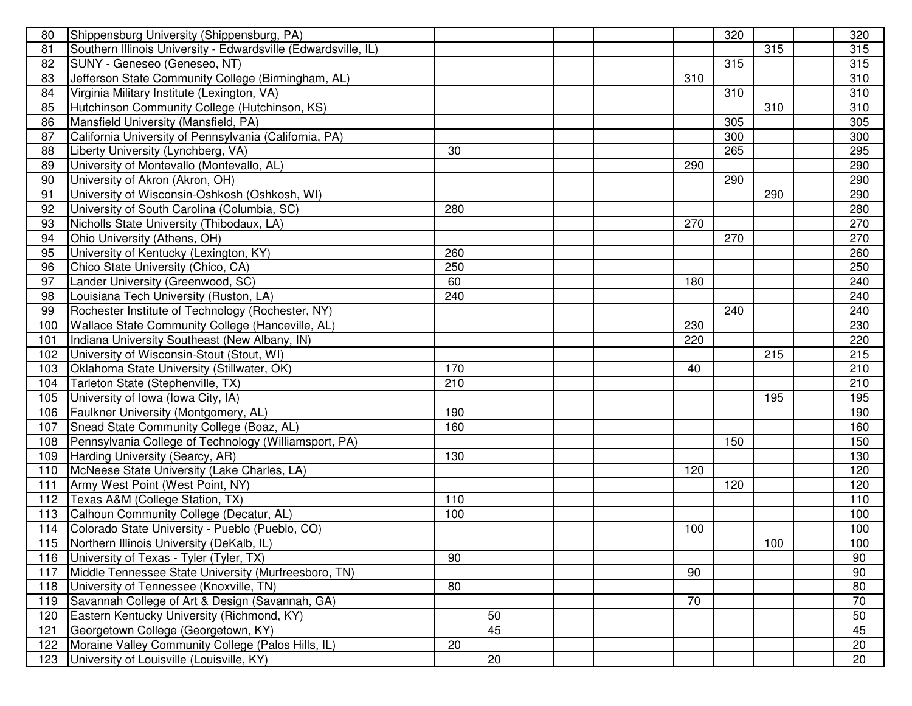| 80  | Shippensburg University (Shippensburg, PA)                     |     |    |  |     | 320 |     | 320 |
|-----|----------------------------------------------------------------|-----|----|--|-----|-----|-----|-----|
| 81  | Southern Illinois University - Edwardsville (Edwardsville, IL) |     |    |  |     |     | 315 | 315 |
| 82  | SUNY - Geneseo (Geneseo, NT)                                   |     |    |  |     | 315 |     | 315 |
| 83  | Jefferson State Community College (Birmingham, AL)             |     |    |  | 310 |     |     | 310 |
| 84  | Virginia Military Institute (Lexington, VA)                    |     |    |  |     | 310 |     | 310 |
| 85  | Hutchinson Community College (Hutchinson, KS)                  |     |    |  |     |     | 310 | 310 |
| 86  | Mansfield University (Mansfield, PA)                           |     |    |  |     | 305 |     | 305 |
| 87  | California University of Pennsylvania (California, PA)         |     |    |  |     | 300 |     | 300 |
| 88  | Liberty University (Lynchberg, VA)                             | 30  |    |  |     | 265 |     | 295 |
| 89  | University of Montevallo (Montevallo, AL)                      |     |    |  | 290 |     |     | 290 |
| 90  | University of Akron (Akron, OH)                                |     |    |  |     | 290 |     | 290 |
| 91  | University of Wisconsin-Oshkosh (Oshkosh, WI)                  |     |    |  |     |     | 290 | 290 |
| 92  | University of South Carolina (Columbia, SC)                    | 280 |    |  |     |     |     | 280 |
| 93  | Nicholls State University (Thibodaux, LA)                      |     |    |  | 270 |     |     | 270 |
| 94  | Ohio University (Athens, OH)                                   |     |    |  |     | 270 |     | 270 |
| 95  | University of Kentucky (Lexington, KY)                         | 260 |    |  |     |     |     | 260 |
| 96  | Chico State University (Chico, CA)                             | 250 |    |  |     |     |     | 250 |
| 97  | Lander University (Greenwood, SC)                              | 60  |    |  | 180 |     |     | 240 |
| 98  | Louisiana Tech University (Ruston, LA)                         | 240 |    |  |     |     |     | 240 |
| 99  | Rochester Institute of Technology (Rochester, NY)              |     |    |  |     | 240 |     | 240 |
| 100 | Wallace State Community College (Hanceville, AL)               |     |    |  | 230 |     |     | 230 |
| 101 | Indiana University Southeast (New Albany, IN)                  |     |    |  | 220 |     |     | 220 |
| 102 | University of Wisconsin-Stout (Stout, WI)                      |     |    |  |     |     | 215 | 215 |
| 103 | Oklahoma State University (Stillwater, OK)                     | 170 |    |  | 40  |     |     | 210 |
| 104 | Tarleton State (Stephenville, TX)                              | 210 |    |  |     |     |     | 210 |
| 105 | University of Iowa (Iowa City, IA)                             |     |    |  |     |     | 195 | 195 |
| 106 | Faulkner University (Montgomery, AL)                           | 190 |    |  |     |     |     | 190 |
| 107 | Snead State Community College (Boaz, AL)                       | 160 |    |  |     |     |     | 160 |
| 108 | Pennsylvania College of Technology (Williamsport, PA)          |     |    |  |     | 150 |     | 150 |
| 109 | Harding University (Searcy, AR)                                | 130 |    |  |     |     |     | 130 |
| 110 | McNeese State University (Lake Charles, LA)                    |     |    |  | 120 |     |     | 120 |
| 111 | Army West Point (West Point, NY)                               |     |    |  |     | 120 |     | 120 |
| 112 | Texas A&M (College Station, TX)                                | 110 |    |  |     |     |     | 110 |
| 113 | Calhoun Community College (Decatur, AL)                        | 100 |    |  |     |     |     | 100 |
| 114 | Colorado State University - Pueblo (Pueblo, CO)                |     |    |  | 100 |     |     | 100 |
|     | 115 Northern Illinois University (DeKalb, IL)                  |     |    |  |     |     | 100 | 100 |
| 116 | University of Texas - Tyler (Tyler, TX)                        | 90  |    |  |     |     |     | 90  |
| 117 | Middle Tennessee State University (Murfreesboro, TN)           |     |    |  | 90  |     |     | 90  |
| 118 | University of Tennessee (Knoxville, TN)                        | 80  |    |  |     |     |     | 80  |
| 119 | Savannah College of Art & Design (Savannah, GA)                |     |    |  | 70  |     |     | 70  |
| 120 | Eastern Kentucky University (Richmond, KY)                     |     | 50 |  |     |     |     | 50  |
| 121 | Georgetown College (Georgetown, KY)                            |     | 45 |  |     |     |     | 45  |
| 122 | Moraine Valley Community College (Palos Hills, IL)             | 20  |    |  |     |     |     | 20  |
| 123 | University of Louisville (Louisville, KY)                      |     | 20 |  |     |     |     | 20  |